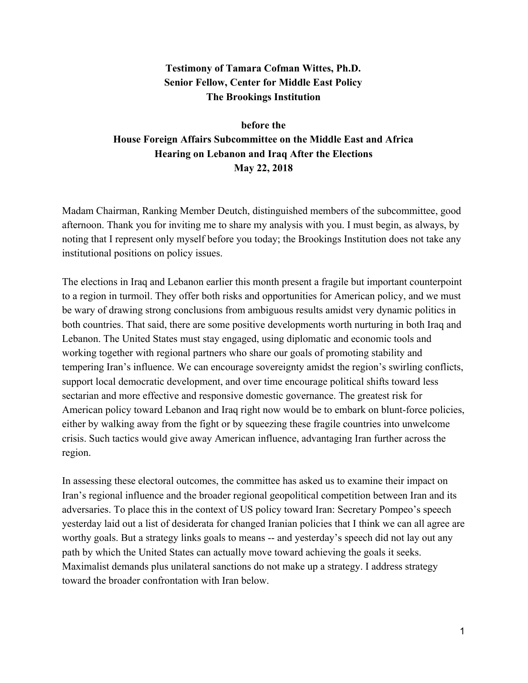## **Testimony of Tamara Cofman Wittes, Ph.D. Senior Fellow, Center for Middle East Policy The Brookings Institution**

# **before the House Foreign Affairs Subcommittee on the Middle East and Africa Hearing on Lebanon and Iraq After the Elections May 22, 2018**

Madam Chairman, Ranking Member Deutch, distinguished members of the subcommittee, good afternoon. Thank you for inviting me to share my analysis with you. I must begin, as always, by noting that I represent only myself before you today; the Brookings Institution does not take any institutional positions on policy issues.

The elections in Iraq and Lebanon earlier this month present a fragile but important counterpoint to a region in turmoil. They offer both risks and opportunities for American policy, and we must be wary of drawing strong conclusions from ambiguous results amidst very dynamic politics in both countries. That said, there are some positive developments worth nurturing in both Iraq and Lebanon. The United States must stay engaged, using diplomatic and economic tools and working together with regional partners who share our goals of promoting stability and tempering Iran's influence. We can encourage sovereignty amidst the region's swirling conflicts, support local democratic development, and over time encourage political shifts toward less sectarian and more effective and responsive domestic governance. The greatest risk for American policy toward Lebanon and Iraq right now would be to embark on blunt-force policies, either by walking away from the fight or by squeezing these fragile countries into unwelcome crisis. Such tactics would give away American influence, advantaging Iran further across the region.

In assessing these electoral outcomes, the committee has asked us to examine their impact on Iran's regional influence and the broader regional geopolitical competition between Iran and its adversaries. To place this in the context of US policy toward Iran: Secretary Pompeo's speech yesterday laid out a list of desiderata for changed Iranian policies that I think we can all agree are worthy goals. But a strategy links goals to means -- and yesterday's speech did not lay out any path by which the United States can actually move toward achieving the goals it seeks. Maximalist demands plus unilateral sanctions do not make up a strategy. I address strategy toward the broader confrontation with Iran below.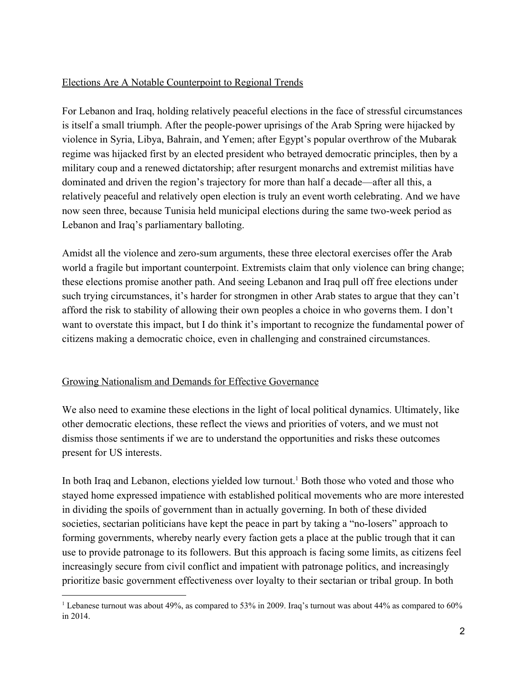## Elections Are A Notable Counterpoint to Regional Trends

For Lebanon and Iraq, holding relatively peaceful elections in the face of stressful circumstances is itself a small triumph. After the people-power uprisings of the Arab Spring were hijacked by violence in Syria, Libya, Bahrain, and Yemen; after Egypt's popular overthrow of the Mubarak regime was hijacked first by an elected president who betrayed democratic principles, then by a military coup and a renewed dictatorship; after resurgent monarchs and extremist militias have dominated and driven the region's trajectory for more than half a decade—after all this, a relatively peaceful and relatively open election is truly an event worth celebrating. And we have now seen three, because Tunisia held municipal elections during the same two-week period as Lebanon and Iraq's parliamentary balloting.

Amidst all the violence and zero-sum arguments, these three electoral exercises offer the Arab world a fragile but important counterpoint. Extremists claim that only violence can bring change; these elections promise another path. And seeing Lebanon and Iraq pull off free elections under such trying circumstances, it's harder for strongmen in other Arab states to argue that they can't afford the risk to stability of allowing their own peoples a choice in who governs them. I don't want to overstate this impact, but I do think it's important to recognize the fundamental power of citizens making a democratic choice, even in challenging and constrained circumstances.

### Growing Nationalism and Demands for Effective Governance

We also need to examine these elections in the light of local political dynamics. Ultimately, like other democratic elections, these reflect the views and priorities of voters, and we must not dismiss those sentiments if we are to understand the opportunities and risks these outcomes present for US interests.

In both Iraq and Lebanon, elections yielded low turnout.<sup>1</sup> Both those who voted and those who stayed home expressed impatience with established political movements who are more interested in dividing the spoils of government than in actually governing. In both of these divided societies, sectarian politicians have kept the peace in part by taking a "no-losers" approach to forming governments, whereby nearly every faction gets a place at the public trough that it can use to provide patronage to its followers. But this approach is facing some limits, as citizens feel increasingly secure from civil conflict and impatient with patronage politics, and increasingly prioritize basic government effectiveness over loyalty to their sectarian or tribal group. In both

<sup>&</sup>lt;sup>1</sup> Lebanese turnout was about 49%, as compared to 53% in 2009. Iraq's turnout was about 44% as compared to 60% in 2014.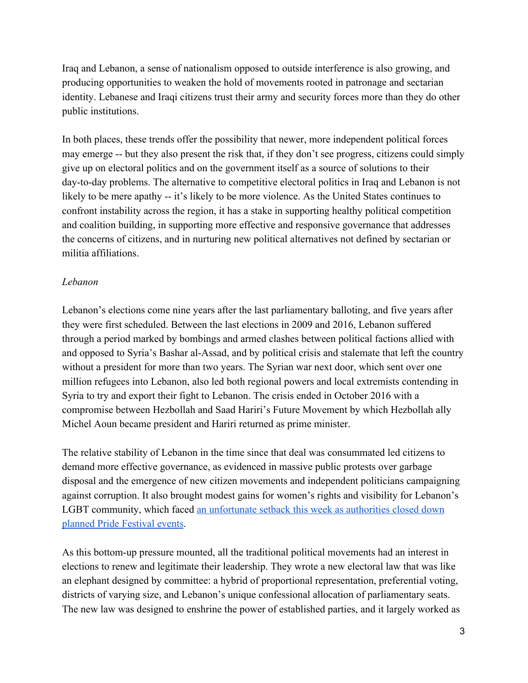Iraq and Lebanon, a sense of nationalism opposed to outside interference is also growing, and producing opportunities to weaken the hold of movements rooted in patronage and sectarian identity. Lebanese and Iraqi citizens trust their army and security forces more than they do other public institutions.

In both places, these trends offer the possibility that newer, more independent political forces may emerge -- but they also present the risk that, if they don't see progress, citizens could simply give up on electoral politics and on the government itself as a source of solutions to their day-to-day problems. The alternative to competitive electoral politics in Iraq and Lebanon is not likely to be mere apathy -- it's likely to be more violence. As the United States continues to confront instability across the region, it has a stake in supporting healthy political competition and coalition building, in supporting more effective and responsive governance that addresses the concerns of citizens, and in nurturing new political alternatives not defined by sectarian or militia affiliations.

### *Lebanon*

Lebanon's elections come nine years after the last parliamentary balloting, and five years after they were first scheduled. Between the last elections in 2009 and 2016, Lebanon suffered through a period marked by bombings and armed clashes between political factions allied with and opposed to Syria's Bashar al-Assad, and by political crisis and stalemate that left the country without a president for more than two years. The Syrian war next door, which sent over one million refugees into Lebanon, also led both regional powers and local extremists contending in Syria to try and export their fight to Lebanon. The crisis ended in October 2016 with a compromise between Hezbollah and Saad Hariri's Future Movement by which Hezbollah ally Michel Aoun became president and Hariri returned as prime minister.

The relative stability of Lebanon in the time since that deal was consummated led citizens to demand more effective governance, as evidenced in massive public protests over garbage disposal and the emergence of new citizen movements and independent politicians campaigning against corruption. It also brought modest gains for women's rights and visibility for Lebanon's LGBT community, which faced [an unfortunate setback this week as authorities closed down](https://www.hrw.org/news/2018/05/18/lebanon-police-shutter-pride-events) [planned Pride Festival events.](https://www.hrw.org/news/2018/05/18/lebanon-police-shutter-pride-events)

As this bottom-up pressure mounted, all the traditional political movements had an interest in elections to renew and legitimate their leadership. They wrote a new electoral law that was like an elephant designed by committee: a hybrid of proportional representation, preferential voting, districts of varying size, and Lebanon's unique confessional allocation of parliamentary seats. The new law was designed to enshrine the power of established parties, and it largely worked as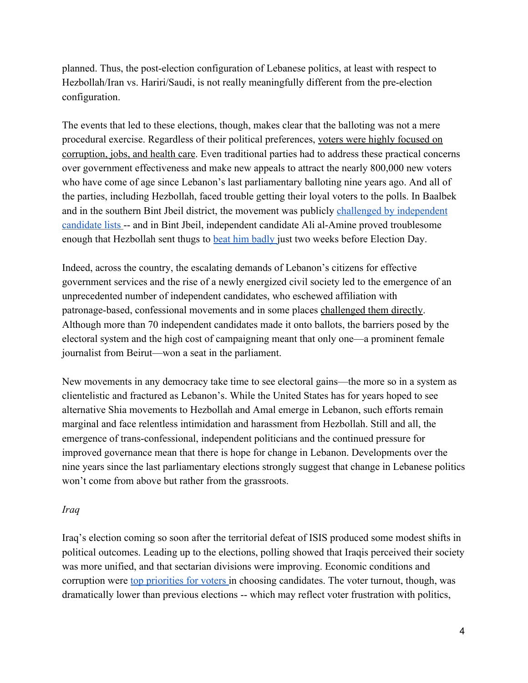planned. Thus, the post-election configuration of Lebanese politics, at least with respect to Hezbollah/Iran vs. Hariri/Saudi, is not really meaningfully different from the pre-election configuration.

The events that led to these elections, though, makes clear that the balloting was not a mere procedural exercise. Regardless of their political preferences, [voters were highly focused on](https://www.ndi.org/sites/default/files/NDI%20Poll_January%202018%20EN%20%28Public%29_0.pdf) [corruption, jobs, and health care](https://www.ndi.org/sites/default/files/NDI%20Poll_January%202018%20EN%20%28Public%29_0.pdf). Even traditional parties had to address these practical concerns over government effectiveness and make new appeals to attract the nearly 800,000 new voters who have come of age since Lebanon's last parliamentary balloting nine years ago. And all of the parties, including Hezbollah, faced trouble getting their loyal voters to the polls. In Baalbek and in the southern Bint Jbeil district, the movement was publicly [challenged by independent](https://www.theatlantic.com/international/archive/2018/05/lebanon-election-hezbollah-sunni-shia/559772/) [candidate lists](https://www.theatlantic.com/international/archive/2018/05/lebanon-election-hezbollah-sunni-shia/559772/) -- and in Bint Jbeil, independent candidate Ali al-Amine proved troublesome enough that Hezbollah sent thugs to **beat him badly** just two weeks before Election Day.

Indeed, across the country, the escalating demands of Lebanon's citizens for effective government services and the rise of a newly energized civil society led to the emergence of an unprecedented number of independent candidates, who eschewed affiliation with patronage-based, confessional movements and in some places [challenged them directly](http://www.france24.com/en/20180424-lebanon-elections-hezbollah-candidate-shiite-attack). Although more than 70 independent candidates made it onto ballots, the barriers posed by the electoral system and the high cost of campaigning meant that only one—a prominent female journalist from Beirut—won a seat in the parliament.

New movements in any democracy take time to see electoral gains—the more so in a system as clientelistic and fractured as Lebanon's. While the United States has for years hoped to see alternative Shia movements to Hezbollah and Amal emerge in Lebanon, such efforts remain marginal and face relentless intimidation and harassment from Hezbollah. Still and all, the emergence of trans-confessional, independent politicians and the continued pressure for improved governance mean that there is hope for change in Lebanon. Developments over the nine years since the last parliamentary elections strongly suggest that change in Lebanese politics won't come from above but rather from the grassroots.

#### *Iraq*

Iraq's election coming so soon after the territorial defeat of ISIS produced some modest shifts in political outcomes. Leading up to the elections, polling showed that Iraqis perceived their society was more unified, and that sectarian divisions were improving. Economic conditions and corruption were [top priorities for voters i](https://csis-prod.s3.amazonaws.com/s3fs-public/event/180402_Iraq_Elections_Slides.pdf?sgMa31im1lr6BxoCGJVli.bR2oLXEoFO)n choosing candidates. The voter turnout, though, was dramatically lower than previous elections -- which may reflect voter frustration with politics,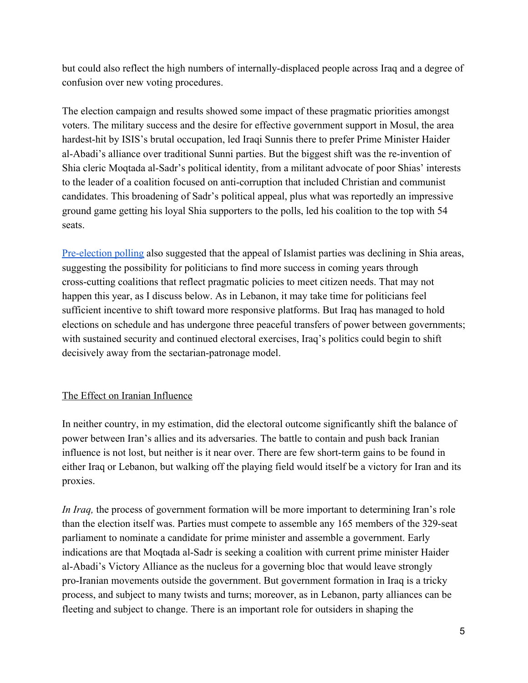but could also reflect the high numbers of internally-displaced people across Iraq and a degree of confusion over new voting procedures.

The election campaign and results showed some impact of these pragmatic priorities amongst voters. The military success and the desire for effective government support in Mosul, the area hardest-hit by ISIS's brutal occupation, led Iraqi Sunnis there to prefer Prime Minister Haider al-Abadi's alliance over traditional Sunni parties. But the biggest shift was the re-invention of Shia cleric Moqtada al-Sadr's political identity, from a militant advocate of poor Shias' interests to the leader of a coalition focused on anti-corruption that included Christian and communist candidates. This broadening of Sadr's political appeal, plus what was reportedly an impressive ground game getting his loyal Shia supporters to the polls, led his coalition to the top with 54 seats.

[Pre-election polling](https://csis-prod.s3.amazonaws.com/s3fs-public/event/180402_Iraq_Elections_Slides.pdf?sgMa31im1lr6BxoCGJVli.bR2oLXEoFO) also suggested that the appeal of Islamist parties was declining in Shia areas, suggesting the possibility for politicians to find more success in coming years through cross-cutting coalitions that reflect pragmatic policies to meet citizen needs. That may not happen this year, as I discuss below. As in Lebanon, it may take time for politicians feel sufficient incentive to shift toward more responsive platforms. But Iraq has managed to hold elections on schedule and has undergone three peaceful transfers of power between governments; with sustained security and continued electoral exercises, Iraq's politics could begin to shift decisively away from the sectarian-patronage model.

### The Effect on Iranian Influence

In neither country, in my estimation, did the electoral outcome significantly shift the balance of power between Iran's allies and its adversaries. The battle to contain and push back Iranian influence is not lost, but neither is it near over. There are few short-term gains to be found in either Iraq or Lebanon, but walking off the playing field would itself be a victory for Iran and its proxies.

*In Iraq,* the process of government formation will be more important to determining Iran's role than the election itself was. Parties must compete to assemble any 165 members of the 329-seat parliament to nominate a candidate for prime minister and assemble a government. Early indications are that Moqtada al-Sadr is seeking a coalition with current prime minister Haider al-Abadi's Victory Alliance as the nucleus for a governing bloc that would leave strongly pro-Iranian movements outside the government. But government formation in Iraq is a tricky process, and subject to many twists and turns; moreover, as in Lebanon, party alliances can be fleeting and subject to change. There is an important role for outsiders in shaping the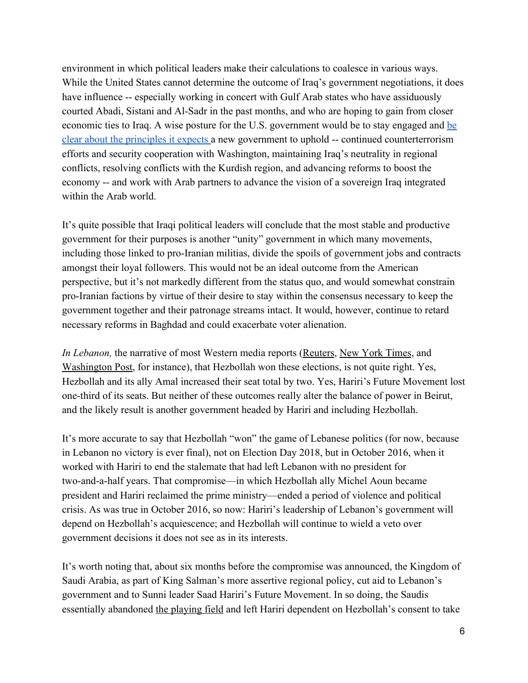environment in which political leaders make their calculations to coalesce in various ways. While the United States cannot determine the outcome of Iraq's government negotiations, it does have influence -- especially working in concert with Gulf Arab states who have assiduously courted Abadi, Sistani and Al-Sadr in the past months, and who are hoping to gain from closer economic ties to Iraq. A wise posture for the U.S. government would be to stay engaged and [be](http://www.washingtoninstitute.org/policy-analysis/view/iraqi-elections-and-u.s.-interests-taking-the-long-view) [clear about the principles it expects](http://www.washingtoninstitute.org/policy-analysis/view/iraqi-elections-and-u.s.-interests-taking-the-long-view) a new government to uphold -- continued counterterrorism efforts and security cooperation with Washington, maintaining Iraq's neutrality in regional conflicts, resolving conflicts with the Kurdish region, and advancing reforms to boost the economy -- and work with Arab partners to advance the vision of a sovereign Iraq integrated within the Arab world.

It's quite possible that Iraqi political leaders will conclude that the most stable and productive government for their purposes is another "unity" government in which many movements, including those linked to pro-Iranian militias, divide the spoils of government jobs and contracts amongst their loyal followers. This would not be an ideal outcome from the American perspective, but it's not markedly different from the status quo, and would somewhat constrain pro-Iranian factions by virtue of their desire to stay within the consensus necessary to keep the government together and their patronage streams intact. It would, however, continue to retard necessary reforms in Baghdad and could exacerbate voter alienation.

*In Lebanon*, the narrative of most Western media reports [\(Reuters,](https://www.reuters.com/article/us-lebanon-election/hezbollah-allies-gain-in-lebanon-vote-in-apparent-boost-for-iran-idUSKBN1I804D) [New York Times](https://www.nytimes.com/2018/05/07/world/middleeast/lebanon-election-hezbollah.html), and [Washington Post,](https://www.washingtonpost.com/world/middle_east/lebanese-media-hezbollah-sees-gains-in-sundays-elections/2018/05/07/64e0b1ec-51cc-11e8-a6d4-ca1d035642ce_story.html?utm_term=.9d791fb17969) for instance), that Hezbollah won these elections, is not quite right. Yes, Hezbollah and its ally Amal increased their seat total by two. Yes, Hariri's Future Movement lost one-third of its seats. But neither of these outcomes really alter the balance of power in Beirut, and the likely result is another government headed by Hariri and including Hezbollah.

It's more accurate to say that Hezbollah "won" the game of Lebanese politics (for now, because in Lebanon no victory is ever final), not on Election Day 2018, but in October 2016, when it worked with Hariri to end the stalemate that had left Lebanon with no president for two-and-a-half years. That compromise—in which Hezbollah ally Michel Aoun became president and Hariri reclaimed the prime ministry—ended a period of violence and political crisis. As was true in October 2016, so now: Hariri's leadership of Lebanon's government will depend on Hezbollah's acquiescence; and Hezbollah will continue to wield a veto over government decisions it does not see as in its interests.

It's worth noting that, about six months before the compromise was announced, the Kingdom of Saudi Arabia, as part of King Salman's more assertive regional policy, cut aid to Lebanon's government and to Sunni leader Saad Hariri's Future Movement. In so doing, the Saudis essentially abandoned [the playing field](https://www.nytimes.com/2016/03/03/world/middleeast/saudi-arabia-cuts-billions-in-aid-to-lebanon-opening-door-for-iran.html) and left Hariri dependent on Hezbollah's consent to take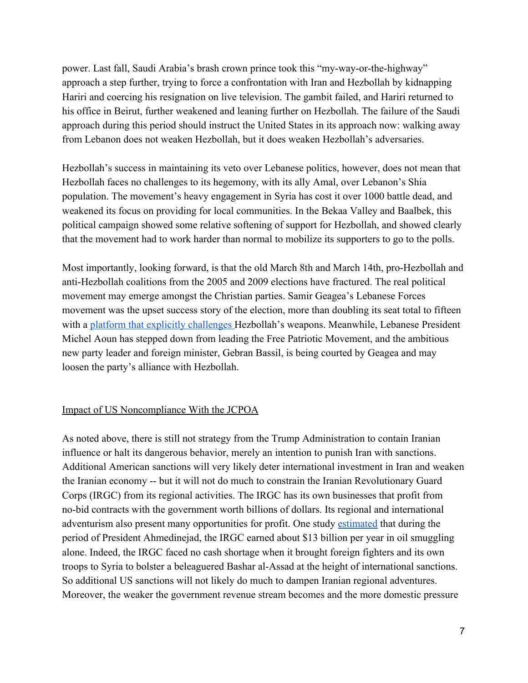power. Last fall, Saudi Arabia's brash crown prince took this "my-way-or-the-highway" approach a step further, trying to force a confrontation with Iran and Hezbollah by kidnapping Hariri and coercing his resignation on live television. The gambit failed, and Hariri returned to his office in Beirut, further weakened and leaning further on Hezbollah. The failure of the Saudi approach during this period should instruct the United States in its approach now: walking away from Lebanon does not weaken Hezbollah, but it does weaken Hezbollah's adversaries.

Hezbollah's success in maintaining its veto over Lebanese politics, however, does not mean that Hezbollah faces no challenges to its hegemony, with its ally Amal, over Lebanon's Shia population. The movement's heavy engagement in Syria has cost it over 1000 battle dead, and weakened its focus on providing for local communities. In the Bekaa Valley and Baalbek, this political campaign showed some relative softening of support for Hezbollah, and showed clearly that the movement had to work harder than normal to mobilize its supporters to go to the polls.

Most importantly, looking forward, is that the old March 8th and March 14th, pro-Hezbollah and anti-Hezbollah coalitions from the 2005 and 2009 elections have fractured. The real political movement may emerge amongst the Christian parties. Samir Geagea's Lebanese Forces movement was the upset success story of the election, more than doubling its seat total to fifteen with a [platform that explicitly challenges H](https://www.reuters.com/article/us-lebanon-election-geagea/boosted-by-lebanon-vote-geagea-eyes-hezbollah-and-reform-idUSKCN1IJ18T)ezbollah's weapons. Meanwhile, Lebanese President Michel Aoun has stepped down from leading the Free Patriotic Movement, and the ambitious new party leader and foreign minister, Gebran Bassil, is being courted by Geagea and may loosen the party's alliance with Hezbollah.

#### Impact of US Noncompliance With the JCPOA

As noted above, there is still not strategy from the Trump Administration to contain Iranian influence or halt its dangerous behavior, merely an intention to punish Iran with sanctions. Additional American sanctions will very likely deter international investment in Iran and weaken the Iranian economy -- but it will not do much to constrain the Iranian Revolutionary Guard Corps (IRGC) from its regional activities. The IRGC has its own businesses that profit from no-bid contracts with the government worth billions of dollars. Its regional and international adventurism also present many opportunities for profit. One study [estimated](https://financialservices.house.gov/uploadedfiles/hhrg-114-ba09-wstate-mrubin-20160908.pdf) that during the period of President Ahmedinejad, the IRGC earned about \$13 billion per year in oil smuggling alone. Indeed, the IRGC faced no cash shortage when it brought foreign fighters and its own troops to Syria to bolster a beleaguered Bashar al-Assad at the height of international sanctions. So additional US sanctions will not likely do much to dampen Iranian regional adventures. Moreover, the weaker the government revenue stream becomes and the more domestic pressure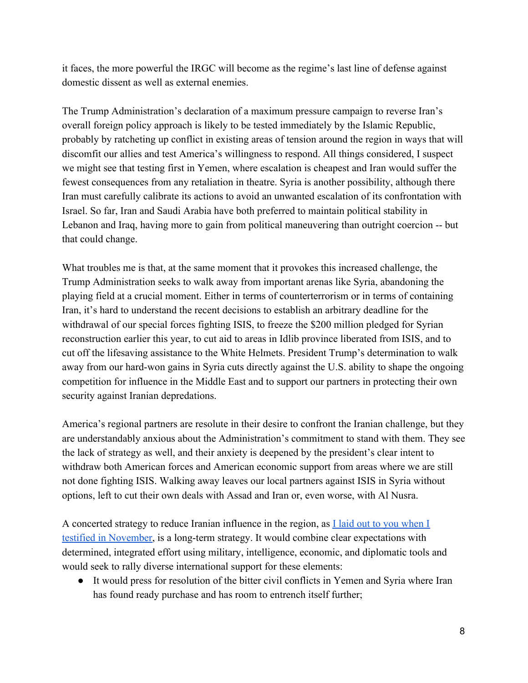it faces, the more powerful the IRGC will become as the regime's last line of defense against domestic dissent as well as external enemies.

The Trump Administration's declaration of a maximum pressure campaign to reverse Iran's overall foreign policy approach is likely to be tested immediately by the Islamic Republic, probably by ratcheting up conflict in existing areas of tension around the region in ways that will discomfit our allies and test America's willingness to respond. All things considered, I suspect we might see that testing first in Yemen, where escalation is cheapest and Iran would suffer the fewest consequences from any retaliation in theatre. Syria is another possibility, although there Iran must carefully calibrate its actions to avoid an unwanted escalation of its confrontation with Israel. So far, Iran and Saudi Arabia have both preferred to maintain political stability in Lebanon and Iraq, having more to gain from political maneuvering than outright coercion -- but that could change.

What troubles me is that, at the same moment that it provokes this increased challenge, the Trump Administration seeks to walk away from important arenas like Syria, abandoning the playing field at a crucial moment. Either in terms of counterterrorism or in terms of containing Iran, it's hard to understand the recent decisions to establish an arbitrary deadline for the withdrawal of our special forces fighting ISIS, to freeze the \$200 million pledged for Syrian reconstruction earlier this year, to cut aid to areas in Idlib province liberated from ISIS, and to cut off the lifesaving assistance to the White Helmets. President Trump's determination to walk away from our hard-won gains in Syria cuts directly against the U.S. ability to shape the ongoing competition for influence in the Middle East and to support our partners in protecting their own security against Iranian depredations.

America's regional partners are resolute in their desire to confront the Iranian challenge, but they are understandably anxious about the Administration's commitment to stand with them. They see the lack of strategy as well, and their anxiety is deepened by the president's clear intent to withdraw both American forces and American economic support from areas where we are still not done fighting ISIS. Walking away leaves our local partners against ISIS in Syria without options, left to cut their own deals with Assad and Iran or, even worse, with Al Nusra.

A concerted strategy to reduce Iranian influence in the region, as [I laid out to you when I](https://docs.house.gov/meetings/FA/FA13/20171129/106678/HHRG-115-FA13-Wstate-WittesT-20171129.pdf) [testified in November,](https://docs.house.gov/meetings/FA/FA13/20171129/106678/HHRG-115-FA13-Wstate-WittesT-20171129.pdf) is a long-term strategy. It would combine clear expectations with determined, integrated effort using military, intelligence, economic, and diplomatic tools and would seek to rally diverse international support for these elements:

● It would press for resolution of the bitter civil conflicts in Yemen and Syria where Iran has found ready purchase and has room to entrench itself further;